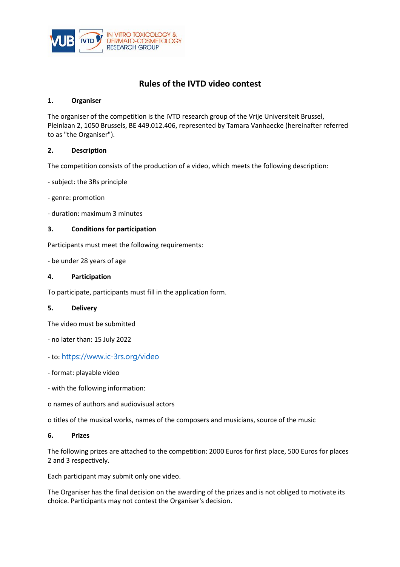

# **Rules of the IVTD video contest**

### **1. Organiser**

The organiser of the competition is the IVTD research group of the Vrije Universiteit Brussel, Pleinlaan 2, 1050 Brussels, BE 449.012.406, represented by Tamara Vanhaecke (hereinafter referred to as "the Organiser").

## **2. Description**

The competition consists of the production of a video, which meets the following description:

- subject: the 3Rs principle

- genre: promotion
- duration: maximum 3 minutes

## **3. Conditions for participation**

Participants must meet the following requirements:

- be under 28 years of age

## **4. Participation**

To participate, participants must fill in the application form.

#### **5. Delivery**

The video must be submitted

- no later than: 15 July 2022
- to: <https://www.ic-3rs.org/video>
- format: playable video
- with the following information:
- o names of authors and audiovisual actors

o titles of the musical works, names of the composers and musicians, source of the music

#### **6. Prizes**

The following prizes are attached to the competition: 2000 Euros for first place, 500 Euros for places 2 and 3 respectively.

Each participant may submit only one video.

The Organiser has the final decision on the awarding of the prizes and is not obliged to motivate its choice. Participants may not contest the Organiser's decision.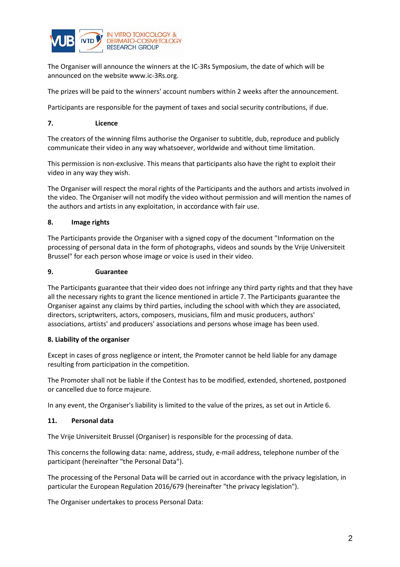

The Organiser will announce the winners at the IC-3Rs Symposium, the date of which will be announced on the website [www.ic-3Rs.org.](http://www.ic-3Rs.org) 

The prizes will be paid to the winners' account numbers within 2 weeks after the announcement.

Participants are responsible for the payment of taxes and social security contributions, if due.

#### **7. Licence**

The creators of the winning films authorise the Organiser to subtitle, dub, reproduce and publicly communicate their video in any way whatsoever, worldwide and without time limitation.

This permission is non-exclusive. This means that participants also have the right to exploit their video in any way they wish.

The Organiser will respect the moral rights of the Participants and the authors and artists involved in the video. The Organiser will not modify the video without permission and will mention the names of the authors and artists in any exploitation, in accordance with fair use.

## **8. Image rights**

The Participants provide the Organiser with a signed copy of the document "Information on the processing of personal data in the form of photographs, videos and sounds by the Vrije Universiteit Brussel" for each person whose image or voice is used in their video.

#### **9. Guarantee**

The Participants guarantee that their video does not infringe any third party rights and that they have all the necessary rights to grant the licence mentioned in article 7. The Participants guarantee the Organiser against any claims by third parties, including the school with which they are associated, directors, scriptwriters, actors, composers, musicians, film and music producers, authors' associations, artists' and producers' associations and persons whose image has been used.

#### **8. Liability of the organiser**

Except in cases of gross negligence or intent, the Promoter cannot be held liable for any damage resulting from participation in the competition.

The Promoter shall not be liable if the Contest has to be modified, extended, shortened, postponed or cancelled due to force majeure.

In any event, the Organiser's liability is limited to the value of the prizes, as set out in Article 6.

#### **11. Personal data**

The Vrije Universiteit Brussel (Organiser) is responsible for the processing of data.

This concerns the following data: name, address, study, e-mail address, telephone number of the participant (hereinafter "the Personal Data").

The processing of the Personal Data will be carried out in accordance with the privacy legislation, in particular the European Regulation 2016/679 (hereinafter "the privacy legislation").

The Organiser undertakes to process Personal Data: